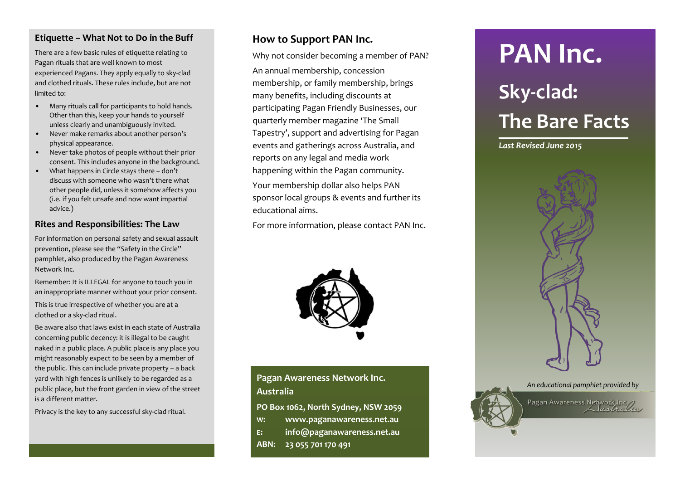#### **Etiquette – What Not to Do in the Buff**

There are a few basic rules of etiquette relating to Pagan rituals that are well known to most experienced Pagans. They apply equally to sky-clad and clothed rituals. These rules include, but are not limited to:

- Many rituals call for participants to hold hands. Other than this, keep your hands to yourself unless clearly and unambiguously invited.
- Never make remarks about another person's physical appearance.
- Never take photos of people without their prior consent. This includes anyone in the background.
- What happens in Circle stays there don't discuss with someone who wasn't there what other people did, unless it somehow affects you (i.e. if you felt unsafe and now want impartial advice.)

#### **Rites and Responsibilities: The Law**

For information on personal safety and sexual assault prevention, please see the "Safety in the Circle" pamphlet, also produced by the Pagan Awareness Network Inc.

Remember: It is ILLEGAL for anyone to touch you in an inappropriate manner without your prior consent.

This is true irrespective of whether you are at a clothed or a sky-clad ritual.

Be aware also that laws exist in each state of Australia concerning public decency: it is illegal to be caught naked in a public place. A public place is any place you might reasonably expect to be seen by a member of the public. This can include private property – a back yard with high fences is unlikely to be regarded as a public place, but the front garden in view of the street is a different matter.

Privacy is the key to any successful sky-clad ritual.

#### **How to Support PAN Inc.**

Why not consider becoming a member of PAN?

An annual membership, concession membership, or family membership, brings many benefits, including discounts at participating Pagan Friendly Businesses, our quarterly member magazine 'The Small Tapestry', support and advertising for Pagan events and gatherings across Australia, and reports on any legal and media work happening within the Pagan community.

Your membership dollar also helps PAN sponsor local groups & events and further its educational aims.

For more information, please contact PAN Inc.



## **Pagan Awareness Network Inc. Australia**

**PO Box 1062, North Sydney, NSW 2059**

- **W: www.paganawareness.net.au**
- **E: info@paganawareness.net.au**
- **ABN: 23 055 701 170 491**

## **PAN Inc.**

# **Sky-clad: The Bare Facts**

*Last Revised June 2015*